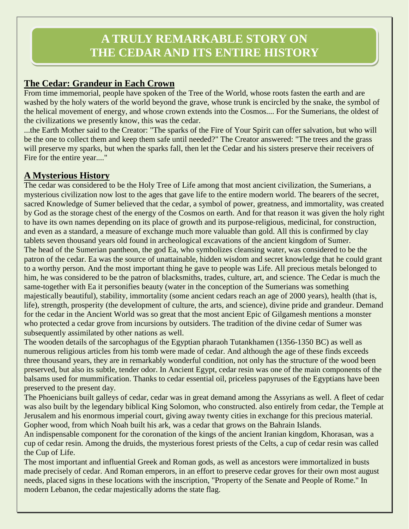# **The Cedar: Grandeur in Each Crown**

From time immemorial, people have spoken of the Tree of the World, whose roots fasten the earth and are washed by the holy waters of the world beyond the grave, whose trunk is encircled by the snake, the symbol of the helical movement of energy, and whose crown extends into the Cosmos.... For the Sumerians, the oldest of the civilizations we presently know, this was the cedar.

...the Earth Mother said to the Creator: "The sparks of the Fire of Your Spirit can offer salvation, but who will be the one to collect them and keep them safe until needed?" The Creator answered: "The trees and the grass will preserve my sparks, but when the sparks fall, then let the Cedar and his sisters preserve their receivers of Fire for the entire year...."

## **A Mysterious History**

The cedar was considered to be the Holy Tree of Life among that most ancient civilization, the Sumerians, a mysterious civilization now lost to the ages that gave life to the entire modern world. The bearers of the secret, sacred Knowledge of Sumer believed that the cedar, a symbol of power, greatness, and immortality, was created by God as the storage chest of the energy of the Cosmos on earth. And for that reason it was given the holy right to have its own names depending on its place of growth and its purpose-religious, medicinal, for construction, and even as a standard, a measure of exchange much more valuable than gold. All this is confirmed by clay tablets seven thousand years old found in archeological excavations of the ancient kingdom of Sumer. The head of the Sumerian pantheon, the god Ea, who symbolizes cleansing water, was considered to be the patron of the cedar. Ea was the source of unattainable, hidden wisdom and secret knowledge that he could grant to a worthy person. And the most important thing he gave to people was Life. All precious metals belonged to him, he was considered to be the patron of blacksmiths, trades, culture, art, and science. The Cedar is much the same-together with Ea it personifies beauty (water in the conception of the Sumerians was something majestically beautiful), stability, immortality (some ancient cedars reach an age of 2000 years), health (that is, life), strength, prosperity (the development of culture, the arts, and science), divine pride and grandeur. Demand for the cedar in the Ancient World was so great that the most ancient Epic of Gilgamesh mentions a monster who protected a cedar grove from incursions by outsiders. The tradition of the divine cedar of Sumer was subsequently assimilated by other nations as well.

The wooden details of the sarcophagus of the Egyptian pharaoh Tutankhamen (1356-1350 BC) as well as numerous religious articles from his tomb were made of cedar. And although the age of these finds exceeds three thousand years, they are in remarkably wonderful condition, not only has the structure of the wood been preserved, but also its subtle, tender odor. In Ancient Egypt, cedar resin was one of the main components of the balsams used for mummification. Thanks to cedar essential oil, priceless papyruses of the Egyptians have been preserved to the present day.

The Phoenicians built galleys of cedar, cedar was in great demand among the Assyrians as well. A fleet of cedar was also built by the legendary biblical King Solomon, who constructed. also entirely from cedar, the Temple at Jerusalem and his enormous imperial court, giving away twenty cities in exchange for this precious material. Gopher wood, from which Noah built his ark, was a cedar that grows on the Bahrain Islands.

An indispensable component for the coronation of the kings of the ancient Iranian kingdom, Khorasan, was a cup of cedar resin. Among the druids, the mysterious forest priests of the Celts, a cup of cedar resin was called the Cup of Life.

The most important and influential Greek and Roman gods, as well as ancestors were immortalized in busts made precisely of cedar. And Roman emperors, in an effort to preserve cedar groves for their own most august needs, placed signs in these locations with the inscription, "Property of the Senate and People of Rome." In modern Lebanon, the cedar majestically adorns the state flag.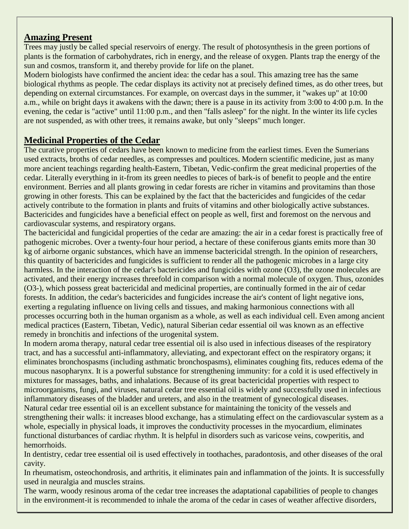## **Amazing Present**

Trees may justly be called special reservoirs of energy. The result of photosynthesis in the green portions of plants is the formation of carbohydrates, rich in energy, and the release of oxygen. Plants trap the energy of the sun and cosmos, transform it, and thereby provide for life on the planet.

Modern biologists have confirmed the ancient idea: the cedar has a soul. This amazing tree has the same biological rhythms as people. The cedar displays its activity not at precisely defined times, as do other trees, but depending on external circumstances. For example, on overcast days in the summer, it "wakes up" at 10:00 a.m., while on bright days it awakens with the dawn; there is a pause in its activity from 3:00 to 4:00 p.m. In the evening, the cedar is "active" until 11:00 p.m., and then "falls asleep" for the night. In the winter its life cycles are not suspended, as with other trees, it remains awake, but only "sleeps" much longer.

### **Medicinal Properties of the Cedar**

The curative properties of cedars have been known to medicine from the earliest times. Even the Sumerians used extracts, broths of cedar needles, as compresses and poultices. Modern scientific medicine, just as many more ancient teachings regarding health-Eastern, Tibetan, Vedic-confirm the great medicinal properties of the cedar. Literally everything in it-from its green needles to pieces of bark-is of benefit to people and the entire environment. Berries and all plants growing in cedar forests are richer in vitamins and provitamins than those growing in other forests. This can be explained by the fact that the bactericides and fungicides of the cedar actively contribute to the formation in plants and fruits of vitamins and other biologically active substances. Bactericides and fungicides have a beneficial effect on people as well, first and foremost on the nervous and cardiovascular systems, and respiratory organs.

The bactericidal and fungicidal properties of the cedar are amazing: the air in a cedar forest is practically free of pathogenic microbes. Over a twenty-four hour period, a hectare of these coniferous giants emits more than 30 kg of airborne organic substances, which have an immense bactericidal strength. In the opinion of researchers, this quantity of bactericides and fungicides is sufficient to render all the pathogenic microbes in a large city harmless. In the interaction of the cedar's bactericides and fungicides with ozone (O3), the ozone molecules are activated, and their energy increases threefold in comparison with a normal molecule of oxygen. Thus, ozonides (O3-), which possess great bactericidal and medicinal properties, are continually formed in the air of cedar forests. In addition, the cedar's bactericides and fungicides increase the air's content of light negative ions, exerting a regulating influence on living cells and tissues, and making harmonious connections with all processes occurring both in the human organism as a whole, as well as each individual cell. Even among ancient medical practices (Eastern, Tibetan, Vedic), natural Siberian cedar essential oil was known as an effective remedy in bronchitis and infections of the urogenital system.

In modern aroma therapy, natural cedar tree essential oil is also used in infectious diseases of the respiratory tract, and has a successful anti-inflammatory, alleviating, and expectorant effect on the respiratory organs; it eliminates bronchospasms (including asthmatic bronchospasms), eliminates coughing fits, reduces edema of the mucous nasopharynx. It is a powerful substance for strengthening immunity: for a cold it is used effectively in mixtures for massages, baths, and inhalations. Because of its great bactericidal properties with respect to microorganisms, fungi, and viruses, natural cedar tree essential oil is widely and successfully used in infectious inflammatory diseases of the bladder and ureters, and also in the treatment of gynecological diseases.

Natural cedar tree essential oil is an excellent substance for maintaining the tonicity of the vessels and strengthening their walls: it increases blood exchange, has a stimulating effect on the cardiovascular system as a whole, especially in physical loads, it improves the conductivity processes in the myocardium, eliminates functional disturbances of cardiac rhythm. It is helpful in disorders such as varicose veins, cowperitis, and hemorrhoids.

In dentistry, cedar tree essential oil is used effectively in toothaches, paradontosis, and other diseases of the oral cavity.

In rheumatism, osteochondrosis, and arthritis, it eliminates pain and inflammation of the joints. It is successfully used in neuralgia and muscles strains.

The warm, woody resinous aroma of the cedar tree increases the adaptational capabilities of people to changes in the environment-it is recommended to inhale the aroma of the cedar in cases of weather affective disorders,